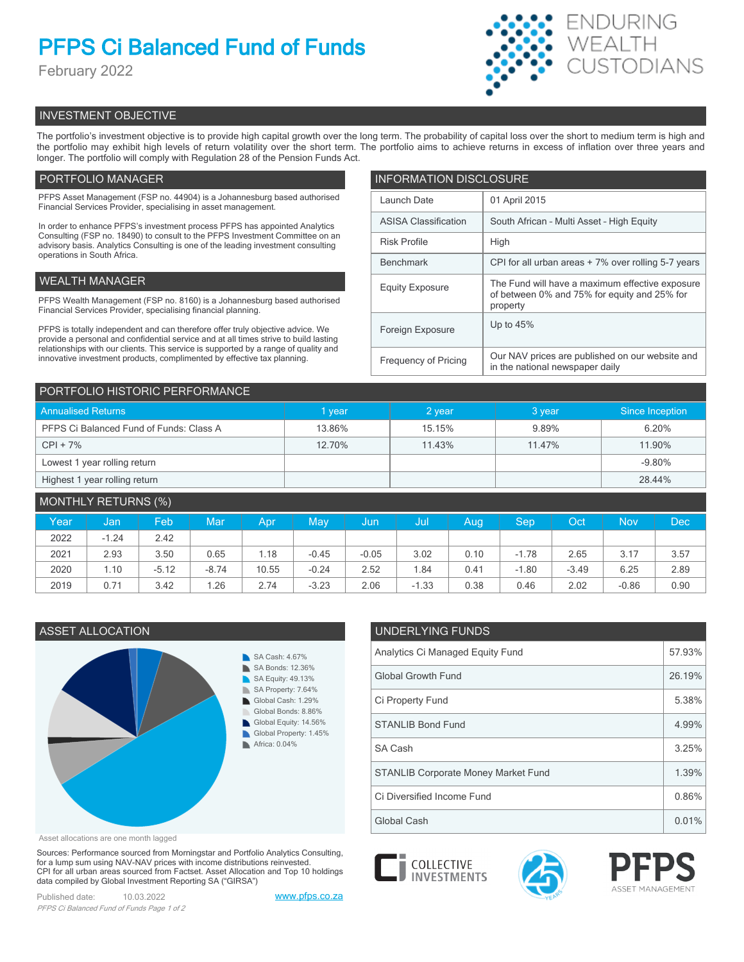# **PFPS Ci Balanced Fund of Funds**

February 2022



# INVESTMENT OBJECTIVE

The portfolio's investment objective is to provide high capital growth over the long term. The probability of capital loss over the short to medium term is high and the portfolio may exhibit high levels of return volatility over the short term. The portfolio aims to achieve returns in excess of inflation over three years and longer. The portfolio will comply with Regulation 28 of the Pension Funds Act.

# PORTFOLIO MANAGER

PFPS Asset Management (FSP no. 44904) is a Johannesburg based authorised Financial Services Provider, specialising in asset management.

In order to enhance PFPS's investment process PFPS has appointed Analytics Consulting (FSP no. 18490) to consult to the PFPS Investment Committee on an advisory basis. Analytics Consulting is one of the leading investment consulting operations in South Africa.

# WEALTH MANAGER

PFPS Wealth Management (FSP no. 8160) is a Johannesburg based authorised Financial Services Provider, specialising financial planning.

PFPS is totally independent and can therefore offer truly objective advice. We provide a personal and confidential service and at all times strive to build lasting relationships with our clients. This service is supported by a range of quality and innovative investment products, complimented by effective tax planning.

| <b>INFORMATION DISCLOSURE</b> |                                                                                                             |  |  |  |  |
|-------------------------------|-------------------------------------------------------------------------------------------------------------|--|--|--|--|
| Launch Date                   | 01 April 2015                                                                                               |  |  |  |  |
| <b>ASISA Classification</b>   | South African - Multi Asset - High Equity                                                                   |  |  |  |  |
| <b>Risk Profile</b>           | High                                                                                                        |  |  |  |  |
| <b>Benchmark</b>              | CPI for all urban areas + 7% over rolling 5-7 years                                                         |  |  |  |  |
| <b>Equity Exposure</b>        | The Fund will have a maximum effective exposure<br>of between 0% and 75% for equity and 25% for<br>property |  |  |  |  |
| Foreign Exposure              | Up to $45%$                                                                                                 |  |  |  |  |
| <b>Frequency of Pricing</b>   | Our NAV prices are published on our website and<br>in the national newspaper daily                          |  |  |  |  |

| PORTFOLIO HISTORIC PERFORMANCE          |        |        |        |                 |  |  |
|-----------------------------------------|--------|--------|--------|-----------------|--|--|
| <b>Annualised Returns</b>               | vear   | 2 year | 3 year | Since Inception |  |  |
| PFPS Ci Balanced Fund of Funds: Class A | 13.86% | 15.15% | 9.89%  | 6.20%           |  |  |
| $CPI + 7%$                              | 12.70% | 11.43% | 11.47% | 11.90%          |  |  |
| Lowest 1 year rolling return            |        |        |        | $-9.80\%$       |  |  |
| Highest 1 year rolling return           |        |        |        | 28.44%          |  |  |

| MONTHLY RETURNS (%) |         |         |            |       |         |         |         |      |         |         |            |      |
|---------------------|---------|---------|------------|-------|---------|---------|---------|------|---------|---------|------------|------|
| Year                | Jan     | Feb     | <b>Mar</b> | Apr   | May.    | Uun,    | Jul     | Aug  | Sep     | Oct     | <b>Nov</b> | Dec  |
| 2022                | $-1.24$ | 2.42    |            |       |         |         |         |      |         |         |            |      |
| 2021                | 2.93    | 3.50    | 0.65       | l.18  | $-0.45$ | $-0.05$ | 3.02    | 0.10 | $-1.78$ | 2.65    | 3.17       | 3.57 |
| 2020                | 1.10    | $-5.12$ | $-8.74$    | 10.55 | $-0.24$ | 2.52    | 1.84    | 0.41 | $-1.80$ | $-3.49$ | 6.25       | 2.89 |
| 2019                | 0.71    | 3.42    | 1.26       | 2.74  | $-3.23$ | 2.06    | $-1.33$ | 0.38 | 0.46    | 2.02    | $-0.86$    | 0.90 |



| UNDERLYING FUNDS                           |        |
|--------------------------------------------|--------|
| Analytics Ci Managed Equity Fund           | 57.93% |
| Global Growth Fund                         | 26.19% |
| Ci Property Fund                           | 5.38%  |
| <b>STANLIB Bond Fund</b>                   | 4.99%  |
| SA Cash                                    | 3.25%  |
| <b>STANLIB Corporate Money Market Fund</b> | 1.39%  |

Asset allocations are one month lagged

Sources: Performance sourced from Morningstar and Portfolio Analytics Consulting, for a lump sum using NAV-NAV prices with income distributions reinvested. CPI for all urban areas sourced from Factset. Asset Allocation and Top 10 holdings data compiled by Global Investment Reporting SA ("GIRSA")

Published date: 10.03.2022 [www.pfps.co.za](https://www.pfps.co.za/) *PFPS Ci Balanced Fund of Funds Page 1 of 2*



COLLECTIVE<br>INVESTMENTS

Global Cash 0.01%

Ci Diversified Income Fund 0.86%